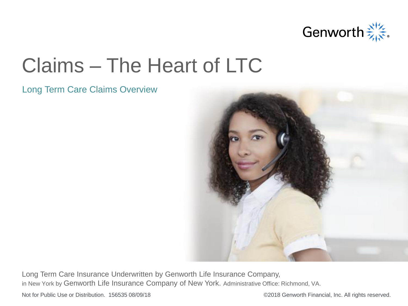

## Claims – The Heart of LTC

### Long Term Care Claims Overview



Long Term Care Insurance Underwritten by Genworth Life Insurance Company, in New York by Genworth Life Insurance Company of New York. Administrative Office: Richmond, VA.

Not for Public Use or Distribution. 156535 08/09/18 <br>
G2018 Genworth Financial, Inc. All rights reserved.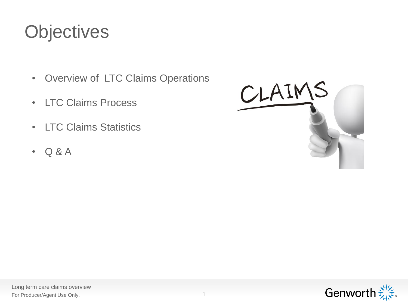## **Objectives**

- Overview of LTC Claims Operations
- LTC Claims Process
- LTC Claims Statistics
- Q & A



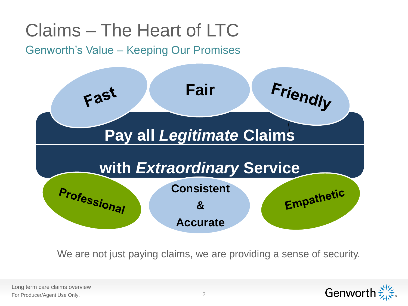## Claims – The Heart of LTC

### Genworth's Value – Keeping Our Promises



We are not just paying claims, we are providing a sense of security.

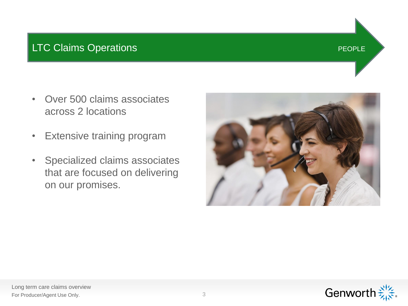### LTC Claims Operations **PEOPLE**

- Over 500 claims associates across 2 locations
- Extensive training program
- Specialized claims associates that are focused on delivering on our promises.





### Long term care claims overview For Producer/Agent Use Only. 3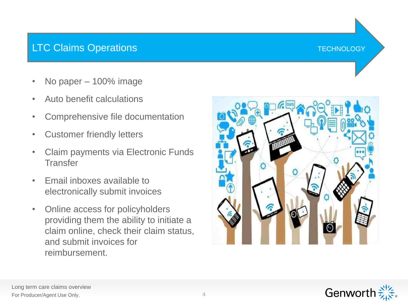### LTC Claims Operations The Contract of the Contract of Technology



- No paper 100% image
- Auto benefit calculations
- Comprehensive file documentation
- Customer friendly letters
- Claim payments via Electronic Funds **Transfer**
- Email inboxes available to electronically submit invoices
- Online access for policyholders providing them the ability to initiate a claim online, check their claim status, and submit invoices for reimbursement.



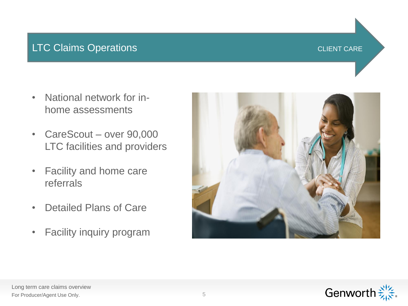### LTC Claims Operations Communications CLIENT CARE

- National network for inhome assessments
- CareScout over 90,000 LTC facilities and providers
- Facility and home care referrals
- Detailed Plans of Care
- Facility inquiry program



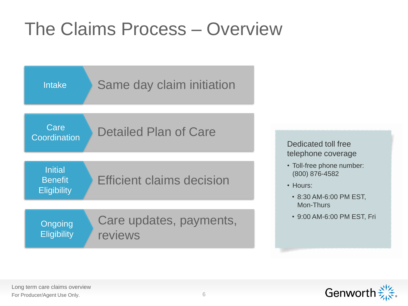## The Claims Process – Overview



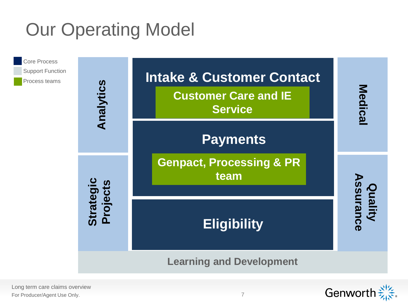## Our Operating Model



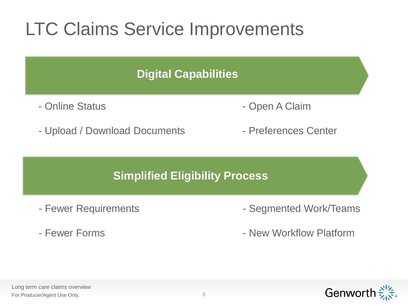## LTC Claims Service Improvements

# **Digital Capabilities** - Online Status **- Open A Claim** - Upload / Download Documents - Preferences Center **Simplified Eligibility Process**

- 
- Fewer Forms
- Fewer Requirements  **Segmented Work/Teams** 
	- New Workflow Platform

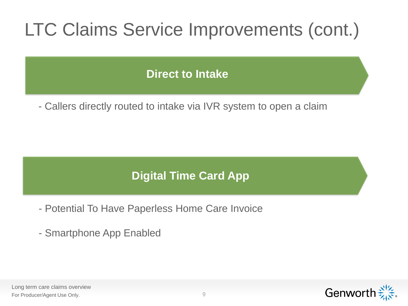## LTC Claims Service Improvements (cont.)

### **Direct to Intake**

- Callers directly routed to intake via IVR system to open a claim

### **Digital Time Card App**

- Potential To Have Paperless Home Care Invoice
- Smartphone App Enabled



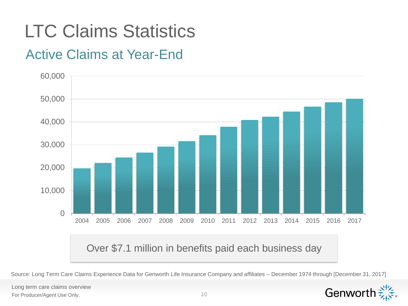## LTC Claims Statistics

### Active Claims at Year-End



Source: Long Term Care Claims Experience Data for Genworth Life Insurance Company and affiliates – December 1974 through [December 31, 2017]

Long term care claims overview For Producer/Agent Use Only.

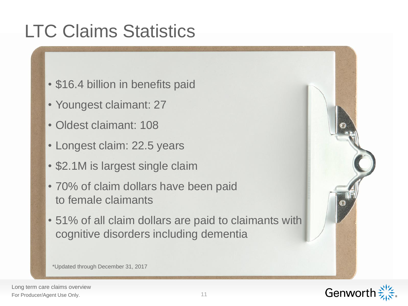## LTC Claims Statistics

- \$16.4 billion in benefits paid
- Youngest claimant: 27
- Oldest claimant: 108
- Longest claim: 22.5 years
- \$2.1M is largest single claim
- 70% of claim dollars have been paid to female claimants
- 51% of all claim dollars are paid to claimants with cognitive disorders including dementia

\*Updated through December 31, 2017



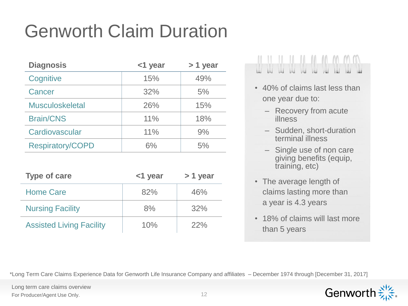## Genworth Claim Duration

| <b>Diagnosis</b>        | <1 year | > 1 year |  |
|-------------------------|---------|----------|--|
| Cognitive               | 15%     | 49%      |  |
| Cancer                  | 32%     | 5%       |  |
| <b>Musculoskeletal</b>  | 26%     | 15%      |  |
| <b>Brain/CNS</b>        | 11%     | 18%      |  |
| Cardiovascular          | 11%     | 9%       |  |
| <b>Respiratory/COPD</b> | 6%      | 5%       |  |

| <b>Type of care</b>             | <1 year | $> 1$ year |
|---------------------------------|---------|------------|
| <b>Home Care</b>                | 82%     | 46%        |
| <b>Nursing Facility</b>         | 8%      | 32%        |
| <b>Assisted Living Facility</b> | 10%     | 22%        |

## 

- 40% of claims last less than one year due to:
	- Recovery from acute illness
	- Sudden, short-duration terminal illness
	- Single use of non care giving benefits (equip, training, etc)
- The average length of claims lasting more than a year is 4.3 years
- 18% of claims will last more than 5 years

\*Long Term Care Claims Experience Data for Genworth Life Insurance Company and affiliates – December 1974 through [December 31, 2017]



Long term care claims overview For Producer/Agent Use Only.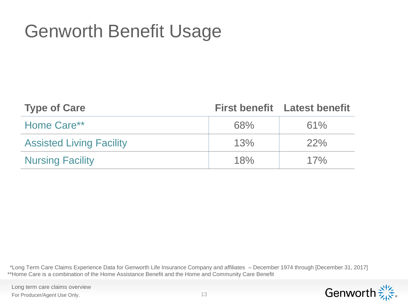## Genworth Benefit Usage

| <b>Type of Care</b>             |     | <b>First benefit</b> Latest benefit |
|---------------------------------|-----|-------------------------------------|
| Home Care**                     | 68% | 61%                                 |
| <b>Assisted Living Facility</b> | 13% | 22%                                 |
| <b>Nursing Facility</b>         | 18% | 17%                                 |

\*Long Term Care Claims Experience Data for Genworth Life Insurance Company and affiliates – December 1974 through [December 31, 2017] \*\*Home Care is a combination of the Home Assistance Benefit and the Home and Community Care Benefit